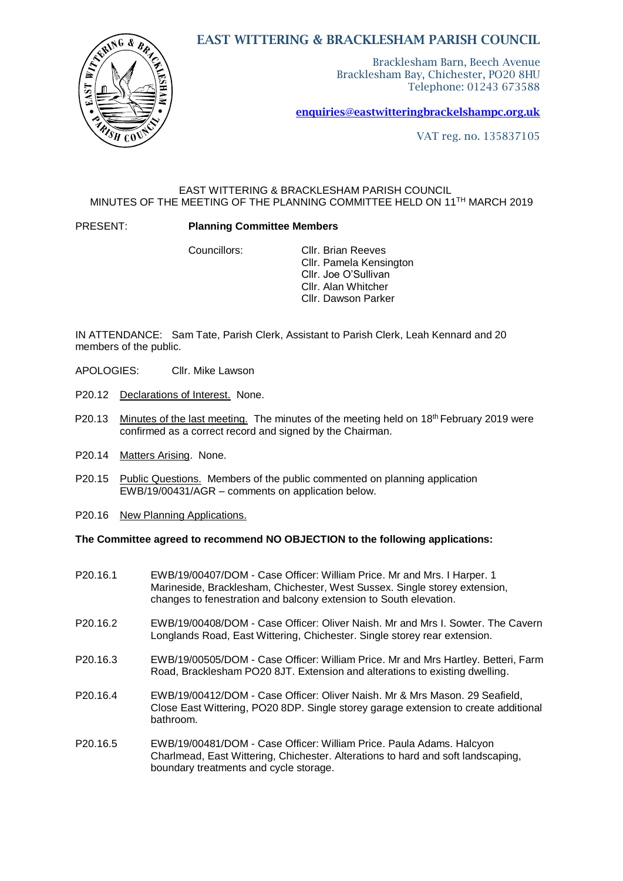## EAST WITTERING & BRACKLESHAM PARISH COUNCIL

Bracklesham Barn, Beech Avenue Bracklesham Bay, Chichester, PO20 8HU Telephone: 01243 673588

[enquiries@eastwitteringb](mailto:enquiries@eastwittering)rackelshampc.org.uk

VAT reg. no. 135837105

## EAST WITTERING & BRACKLESHAM PARISH COUNCIL MINUTES OF THE MEETING OF THE PLANNING COMMITTEE HELD ON 11 TH MARCH 2019

### PRESENT: **Planning Committee Members**

Councillors: Cllr. Brian Reeves Cllr. Pamela Kensington Cllr. Joe O'Sullivan Cllr. Alan Whitcher Cllr. Dawson Parker

IN ATTENDANCE: Sam Tate, Parish Clerk, Assistant to Parish Clerk, Leah Kennard and 20 members of the public.

- APOLOGIES: Cllr. Mike Lawson
- P20.12 Declarations of Interest. None.
- P20.13 Minutes of the last meeting. The minutes of the meeting held on 18<sup>th</sup> February 2019 were confirmed as a correct record and signed by the Chairman.
- P20.14 Matters Arising. None.
- P20.15 Public Questions. Members of the public commented on planning application EWB/19/00431/AGR – comments on application below.
- P20.16 New Planning Applications.

### **The Committee agreed to recommend NO OBJECTION to the following applications:**

- P20.16.1 EWB/19/00407/DOM Case Officer: William Price. Mr and Mrs. I Harper. 1 Marineside, Bracklesham, Chichester, West Sussex. Single storey extension, changes to fenestration and balcony extension to South elevation.
- P20.16.2 EWB/19/00408/DOM Case Officer: Oliver Naish. Mr and Mrs I. Sowter. The Cavern Longlands Road, East Wittering, Chichester. Single storey rear extension.
- P20.16.3 EWB/19/00505/DOM Case Officer: William Price. Mr and Mrs Hartley. Betteri, Farm Road, Bracklesham PO20 8JT. Extension and alterations to existing dwelling.
- P20.16.4 EWB/19/00412/DOM Case Officer: Oliver Naish. Mr & Mrs Mason. 29 Seafield, Close East Wittering, PO20 8DP. Single storey garage extension to create additional bathroom.
- P20.16.5 EWB/19/00481/DOM Case Officer: William Price. Paula Adams. Halcyon Charlmead, East Wittering, Chichester. Alterations to hard and soft landscaping, boundary treatments and cycle storage.